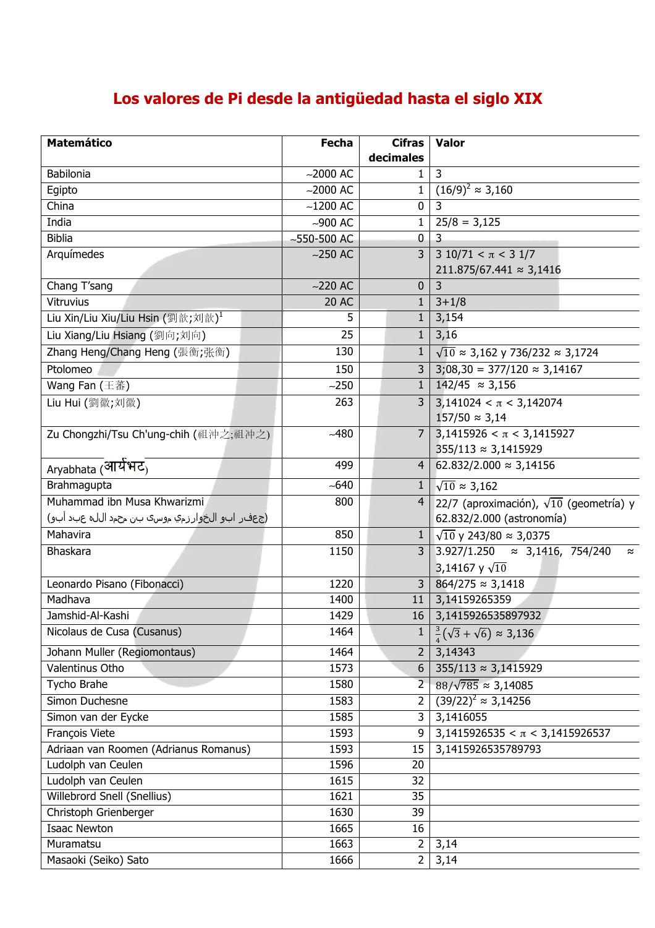## **Los valores de Pi desde la antigüedad hasta el siglo XIX**

| <b>Matemático</b>                              | <b>Fecha</b>    | <b>Cifras</b>  | Valor                                                                                       |
|------------------------------------------------|-----------------|----------------|---------------------------------------------------------------------------------------------|
|                                                |                 | decimales      |                                                                                             |
| <b>Babilonia</b>                               | $~2000$ AC      | 1              | 3                                                                                           |
| Egipto                                         | $-2000$ AC      | $\mathbf{1}$   | $(16/9)^2 \approx 3,160$                                                                    |
| China                                          | $-1200$ AC      | $\mathbf 0$    | 3                                                                                           |
| India                                          | $-900$ AC       | $\mathbf{1}$   | $25/8 = 3,125$                                                                              |
| <b>Biblia</b>                                  | $-550 - 500$ AC | $\mathbf 0$    | 3                                                                                           |
| Arquímedes                                     | $~250$ AC       | 3              | $3\ 10/71 < \pi < 3\ 1/7$                                                                   |
|                                                |                 |                | $211.875/67.441 \approx 3,1416$                                                             |
| Chang T'sang                                   | $-220$ AC       | 0              | 3                                                                                           |
| Vitruvius                                      | <b>20 AC</b>    | $\mathbf{1}$   | $3 + 1/8$                                                                                   |
| Liu Xin/Liu Xiu/Liu Hsin (劉歆;刘歆) <sup>1</sup>  | 5               | $\mathbf{1}$   | 3,154                                                                                       |
| Liu Xiang/Liu Hsiang (劉向;刘向)                   | 25              | $\mathbf{1}$   | 3,16                                                                                        |
| Zhang Heng/Chang Heng (張衡;张衡)                  | 130             | $\mathbf{1}$   | $\sqrt{10} \approx 3,162$ y 736/232 $\approx 3,1724$                                        |
| Ptolomeo                                       | 150             | $\overline{3}$ | $3,08,30 = 377/120 \approx 3,14167$                                                         |
| Wang Fan (王蕃)                                  | $-250$          | $\mathbf{1}$   | $\frac{142}{45} \approx 3,156$                                                              |
| Liu Hui (劉徽;刘徽)                                | 263             | 3              | $3,141024 < \pi < 3,142074$                                                                 |
|                                                |                 |                | $157/50 \approx 3,14$                                                                       |
| Zu Chongzhi/Tsu Ch'ung-chih (祖沖之;祖冲之)          | $-480$          |                | 7 3,1415926 < $\pi$ < 3,1415927                                                             |
|                                                |                 |                | $355/113 \approx 3,1415929$                                                                 |
| Aryabhata (आयेभट <sub>)</sub>                  | 499             | 4              | 62.832/2.000 $\approx$ 3,14156                                                              |
| Brahmagupta                                    | $-640$          | $\mathbf{1}$   | $\sqrt{10} \approx 3,162$                                                                   |
| Muhammad ibn Musa Khwarizmi                    | 800             | $\overline{4}$ | 22/7 (aproximación), $\sqrt{10}$ (geometría) y                                              |
| (جعفر ابو الخوارزمي موسۍ بن محمد ال∪ه عٻد ابو) |                 |                | 62.832/2.000 (astronomía)                                                                   |
| Mahavira                                       | 850             | $\mathbf{1}$   |                                                                                             |
| Bhaskara                                       | 1150            | $\overline{3}$ | $\sqrt{10}$ y 243/80 $\approx$ 3,0375<br>$3.927/1.250 \approx 3,1416, 754/240$<br>$\approx$ |
|                                                |                 |                | 3,14167 y $\sqrt{10}$                                                                       |
| Leonardo Pisano (Fibonacci)                    | 1220            | 3              | $864/275 \approx 3,1418$                                                                    |
| Madhava                                        | 1400            | 11             | 3,14159265359                                                                               |
| Jamshid-Al-Kashi                               | 1429            | 16             | 3,1415926535897932                                                                          |
| Nicolaus de Cusa (Cusanus)                     | 1464            |                |                                                                                             |
|                                                |                 | 1              | $\frac{3}{4}(\sqrt{3}+\sqrt{6}) \approx 3,136$                                              |
| Johann Muller (Regiomontaus)                   | 1464            | $2^{\circ}$    | 3,14343                                                                                     |
| Valentinus Otho                                | 1573            | 6              | $355/113 \approx 3,1415929$                                                                 |
| Tycho Brahe                                    | 1580            | $2 -$          | $88/\sqrt{785} \approx 3,14085$                                                             |
| Simon Duchesne                                 | 1583            | $\overline{2}$ | $(39/22)^{2} \approx 3,14256$                                                               |
| Simon van der Eycke                            | 1585            | 3              | 3,1416055                                                                                   |
| François Viete                                 | 1593            | 9              | $3,1415926535 < \pi < 3,1415926537$                                                         |
| Adriaan van Roomen (Adrianus Romanus)          | 1593            | 15             | 3,1415926535789793                                                                          |
| Ludolph van Ceulen                             | 1596            | 20             |                                                                                             |
| Ludolph van Ceulen                             | 1615            | 32             |                                                                                             |
| Willebrord Snell (Snellius)                    | 1621            | 35             |                                                                                             |
| Christoph Grienberger                          | 1630            | 39             |                                                                                             |
| <b>Isaac Newton</b>                            | 1665            | 16             |                                                                                             |
| Muramatsu                                      | 1663            | $\overline{2}$ | 3,14                                                                                        |
| Masaoki (Seiko) Sato                           | 1666            | 2              | 3,14                                                                                        |